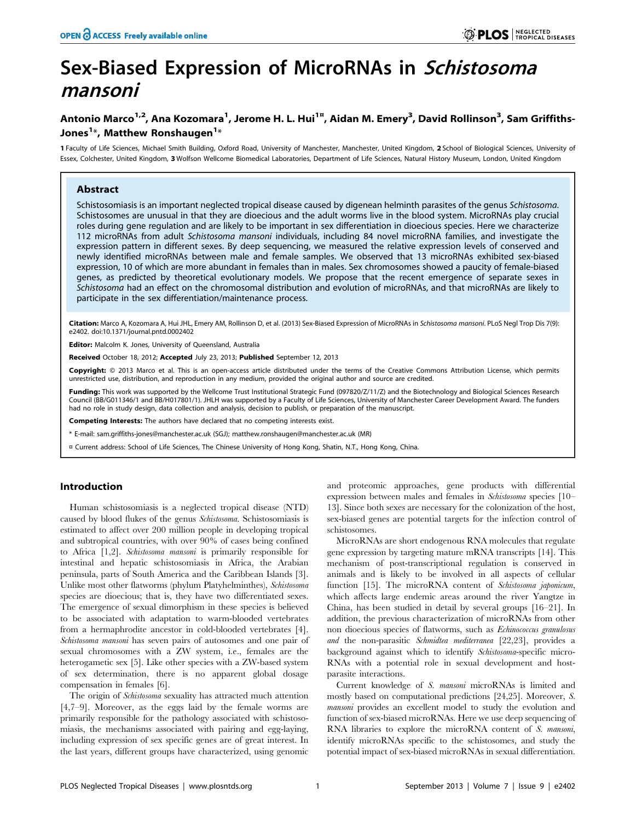# Sex-Biased Expression of MicroRNAs in Schistosoma mansoni

# Antonio Marco<sup>1,2</sup>, Ana Kozomara<sup>1</sup>, Jerome H. L. Hui<sup>1¤</sup>, Aidan M. Emery<sup>3</sup>, David Rollinson<sup>3</sup>, Sam Griffiths-Jones $^{\mathsf{1}\ast}$ , Matthew Ronshaugen $^{\mathsf{1}\ast}$

1 Faculty of Life Sciences, Michael Smith Building, Oxford Road, University of Manchester, Manchester, United Kingdom, 2 School of Biological Sciences, University of Essex, Colchester, United Kingdom, 3 Wolfson Wellcome Biomedical Laboratories, Department of Life Sciences, Natural History Museum, London, United Kingdom

# Abstract

Schistosomiasis is an important neglected tropical disease caused by digenean helminth parasites of the genus Schistosoma. Schistosomes are unusual in that they are dioecious and the adult worms live in the blood system. MicroRNAs play crucial roles during gene regulation and are likely to be important in sex differentiation in dioecious species. Here we characterize 112 microRNAs from adult Schistosoma mansoni individuals, including 84 novel microRNA families, and investigate the expression pattern in different sexes. By deep sequencing, we measured the relative expression levels of conserved and newly identified microRNAs between male and female samples. We observed that 13 microRNAs exhibited sex-biased expression, 10 of which are more abundant in females than in males. Sex chromosomes showed a paucity of female-biased genes, as predicted by theoretical evolutionary models. We propose that the recent emergence of separate sexes in Schistosoma had an effect on the chromosomal distribution and evolution of microRNAs, and that microRNAs are likely to participate in the sex differentiation/maintenance process.

Citation: Marco A, Kozomara A, Hui JHL, Emery AM, Rollinson D, et al. (2013) Sex-Biased Expression of MicroRNAs in Schistosoma mansoni. PLoS Negl Trop Dis 7(9): e2402. doi:10.1371/journal.pntd.0002402

Editor: Malcolm K. Jones, University of Queensland, Australia

Received October 18, 2012; Accepted July 23, 2013; Published September 12, 2013

Copyright: © 2013 Marco et al. This is an open-access article distributed under the terms of the Creative Commons Attribution License, which permits unrestricted use, distribution, and reproduction in any medium, provided the original author and source are credited.

Funding: This work was supported by the Wellcome Trust Institutional Strategic Fund (097820/Z/11/Z) and the Biotechnology and Biological Sciences Research Council (BB/G011346/1 and BB/H017801/1). JHLH was supported by a Faculty of Life Sciences, University of Manchester Career Development Award. The funders had no role in study design, data collection and analysis, decision to publish, or preparation of the manuscript.

**Competing Interests:** The authors have declared that no competing interests exist.

\* E-mail: sam.griffiths-jones@manchester.ac.uk (SGJ); matthew.ronshaugen@manchester.ac.uk (MR)

¤ Current address: School of Life Sciences, The Chinese University of Hong Kong, Shatin, N.T., Hong Kong, China.

# Introduction

Human schistosomiasis is a neglected tropical disease (NTD) caused by blood flukes of the genus Schistosoma. Schistosomiasis is estimated to affect over 200 million people in developing tropical and subtropical countries, with over 90% of cases being confined to Africa [1,2]. Schistosoma mansoni is primarily responsible for intestinal and hepatic schistosomiasis in Africa, the Arabian peninsula, parts of South America and the Caribbean Islands [3]. Unlike most other flatworms (phylum Platyhelminthes), Schistosoma species are dioecious; that is, they have two differentiated sexes. The emergence of sexual dimorphism in these species is believed to be associated with adaptation to warm-blooded vertebrates from a hermaphrodite ancestor in cold-blooded vertebrates [4]. Schistosoma mansoni has seven pairs of autosomes and one pair of sexual chromosomes with a ZW system, i.e., females are the heterogametic sex [5]. Like other species with a ZW-based system of sex determination, there is no apparent global dosage compensation in females [6].

The origin of Schistosoma sexuality has attracted much attention [4,7–9]. Moreover, as the eggs laid by the female worms are primarily responsible for the pathology associated with schistosomiasis, the mechanisms associated with pairing and egg-laying, including expression of sex specific genes are of great interest. In the last years, different groups have characterized, using genomic and proteomic approaches, gene products with differential expression between males and females in Schistosoma species [10– 13]. Since both sexes are necessary for the colonization of the host, sex-biased genes are potential targets for the infection control of schistosomes.

MicroRNAs are short endogenous RNA molecules that regulate gene expression by targeting mature mRNA transcripts [14]. This mechanism of post-transcriptional regulation is conserved in animals and is likely to be involved in all aspects of cellular function [15]. The microRNA content of Schistosoma japonicum, which affects large endemic areas around the river Yangtze in China, has been studied in detail by several groups [16–21]. In addition, the previous characterization of microRNAs from other non dioecious species of flatworms, such as Echinococcus granulosus and the non-parasitic Schmidtea mediterranea [22,23], provides a background against which to identify Schistosoma-specific micro-RNAs with a potential role in sexual development and hostparasite interactions.

Current knowledge of S. mansoni microRNAs is limited and mostly based on computational predictions [24,25]. Moreover, S. mansoni provides an excellent model to study the evolution and function of sex-biased microRNAs. Here we use deep sequencing of RNA libraries to explore the microRNA content of S. mansoni, identify microRNAs specific to the schistosomes, and study the potential impact of sex-biased microRNAs in sexual differentiation.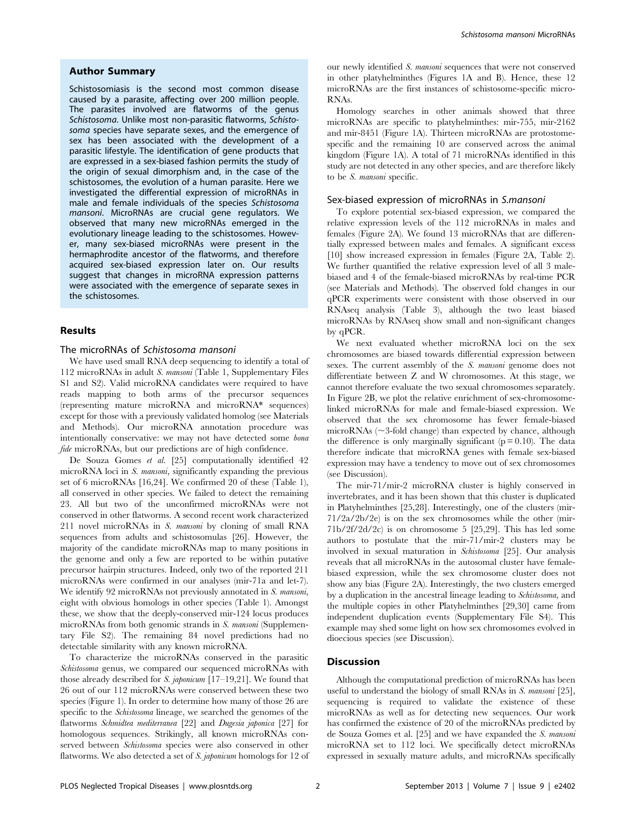#### Author Summary

Schistosomiasis is the second most common disease caused by a parasite, affecting over 200 million people. The parasites involved are flatworms of the genus Schistosoma. Unlike most non-parasitic flatworms, Schistosoma species have separate sexes, and the emergence of sex has been associated with the development of a parasitic lifestyle. The identification of gene products that are expressed in a sex-biased fashion permits the study of the origin of sexual dimorphism and, in the case of the schistosomes, the evolution of a human parasite. Here we investigated the differential expression of microRNAs in male and female individuals of the species Schistosoma mansoni. MicroRNAs are crucial gene regulators. We observed that many new microRNAs emerged in the evolutionary lineage leading to the schistosomes. However, many sex-biased microRNAs were present in the hermaphrodite ancestor of the flatworms, and therefore acquired sex-biased expression later on. Our results suggest that changes in microRNA expression patterns were associated with the emergence of separate sexes in the schistosomes.

#### Results

#### The microRNAs of Schistosoma mansoni

We have used small RNA deep sequencing to identify a total of 112 microRNAs in adult S. mansoni (Table 1, Supplementary Files S1 and S2). Valid microRNA candidates were required to have reads mapping to both arms of the precursor sequences (representing mature microRNA and microRNA\* sequences) except for those with a previously validated homolog (see Materials and Methods). Our microRNA annotation procedure was intentionally conservative: we may not have detected some bona fide microRNAs, but our predictions are of high confidence.

De Souza Gomes et al. [25] computationally identified 42 microRNA loci in S. mansoni, significantly expanding the previous set of 6 microRNAs [16,24]. We confirmed 20 of these (Table 1), all conserved in other species. We failed to detect the remaining 23. All but two of the unconfirmed microRNAs were not conserved in other flatworms. A second recent work characterized 211 novel microRNAs in S. mansoni by cloning of small RNA sequences from adults and schistosomulas [26]. However, the majority of the candidate microRNAs map to many positions in the genome and only a few are reported to be within putative precursor hairpin structures. Indeed, only two of the reported 211 microRNAs were confirmed in our analyses (mir-71a and let-7). We identify 92 microRNAs not previously annotated in S. mansoni, eight with obvious homologs in other species (Table 1). Amongst these, we show that the deeply-conserved mir-124 locus produces microRNAs from both genomic strands in S. mansoni (Supplementary File S2). The remaining 84 novel predictions had no detectable similarity with any known microRNA.

To characterize the microRNAs conserved in the parasitic Schistosoma genus, we compared our sequenced microRNAs with those already described for  $S.$  japonicum  $[17-19,21]$ . We found that 26 out of our 112 microRNAs were conserved between these two species (Figure 1). In order to determine how many of those 26 are specific to the Schistosoma lineage, we searched the genomes of the flatworms Schmidtea mediterranea [22] and Dugesia japonica [27] for homologous sequences. Strikingly, all known microRNAs conserved between Schistosoma species were also conserved in other flatworms. We also detected a set of S. japonicum homologs for 12 of our newly identified S. mansoni sequences that were not conserved in other platyhelminthes (Figures 1A and B). Hence, these 12 microRNAs are the first instances of schistosome-specific micro-RNAs.

Homology searches in other animals showed that three microRNAs are specific to platyhelminthes: mir-755, mir-2162 and mir-8451 (Figure 1A). Thirteen microRNAs are protostomespecific and the remaining 10 are conserved across the animal kingdom (Figure 1A). A total of 71 microRNAs identified in this study are not detected in any other species, and are therefore likely to be S. mansoni specific.

## Sex-biased expression of microRNAs in S.mansoni

To explore potential sex-biased expression, we compared the relative expression levels of the 112 microRNAs in males and females (Figure 2A). We found 13 microRNAs that are differentially expressed between males and females. A significant excess [10] show increased expression in females (Figure 2A, Table 2). We further quantified the relative expression level of all 3 malebiased and 4 of the female-biased microRNAs by real-time PCR (see Materials and Methods). The observed fold changes in our qPCR experiments were consistent with those observed in our RNAseq analysis (Table 3), although the two least biased microRNAs by RNAseq show small and non-significant changes by qPCR.

We next evaluated whether microRNA loci on the sex chromosomes are biased towards differential expression between sexes. The current assembly of the *S. mansoni* genome does not differentiate between Z and W chromosomes. At this stage, we cannot therefore evaluate the two sexual chromosomes separately. In Figure 2B, we plot the relative enrichment of sex-chromosomelinked microRNAs for male and female-biased expression. We observed that the sex chromosome has fewer female-biased microRNAs ( $\sim$ 3-fold change) than expected by chance, although the difference is only marginally significant  $(p = 0.10)$ . The data therefore indicate that microRNA genes with female sex-biased expression may have a tendency to move out of sex chromosomes (see Discussion).

The mir-71/mir-2 microRNA cluster is highly conserved in invertebrates, and it has been shown that this cluster is duplicated in Platyhelminthes [25,28]. Interestingly, one of the clusters (mir-71/2a/2b/2e) is on the sex chromosomes while the other (mir-71b/2f/2d/2c) is on chromosome 5 [25,29]. This has led some authors to postulate that the mir-71/mir-2 clusters may be involved in sexual maturation in Schistosoma [25]. Our analysis reveals that all microRNAs in the autosomal cluster have femalebiased expression, while the sex chromosome cluster does not show any bias (Figure 2A). Interestingly, the two clusters emerged by a duplication in the ancestral lineage leading to Schistosoma, and the multiple copies in other Platyhelminthes [29,30] came from independent duplication events (Supplementary File S4). This example may shed some light on how sex chromosomes evolved in dioecious species (see Discussion).

## Discussion

Although the computational prediction of microRNAs has been useful to understand the biology of small RNAs in S. mansoni [25], sequencing is required to validate the existence of these microRNAs as well as for detecting new sequences. Our work has confirmed the existence of 20 of the microRNAs predicted by de Souza Gomes et al. [25] and we have expanded the S. mansoni microRNA set to 112 loci. We specifically detect microRNAs expressed in sexually mature adults, and microRNAs specifically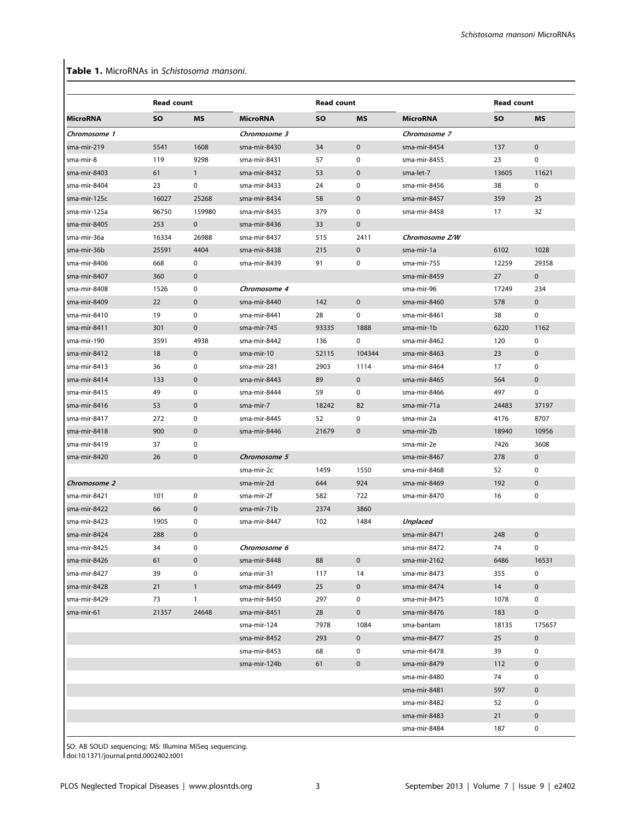# Table 1. MicroRNAs in Schistosoma mansoni.

|                 | <b>Read count</b> |              |                 | <b>Read count</b> |             |                 | Read count |              |
|-----------------|-------------------|--------------|-----------------|-------------------|-------------|-----------------|------------|--------------|
| <b>MicroRNA</b> | SO                | <b>MS</b>    | <b>MicroRNA</b> | SO                | <b>MS</b>   | <b>MicroRNA</b> | <b>SO</b>  | <b>MS</b>    |
| Chromosome 1    |                   |              | Chromosome 3    |                   |             | Chromosome 7    |            |              |
| sma-mir-219     | 5541              | 1608         | sma-mir-8430    | 34                | $\pmb{0}$   | sma-mir-8454    | 137        | $\pmb{0}$    |
| sma-mir-8       | 119               | 9298         | sma-mir-8431    | 57                | $\mathbf 0$ | sma-mir-8455    | 23         | $\mathbf 0$  |
| sma-mir-8403    | 61                | $\mathbf{1}$ | sma-mir-8432    | 53                | $\mathbf 0$ | sma-let-7       | 13605      | 11621        |
| sma-mir-8404    | 23                | 0            | sma-mir-8433    | 24                | 0           | sma-mir-8456    | 38         | 0            |
| sma-mir-125c    | 16027             | 25268        | sma-mir-8434    | 58                | $\mathbf 0$ | sma-mir-8457    | 359        | 25           |
| sma-mir-125a    | 96750             | 159980       | sma-mir-8435    | 379               | 0           | sma-mir-8458    | 17         | 32           |
| sma-mir-8405    | 253               | $\mathbf 0$  | sma-mir-8436    | 33                | $\pmb{0}$   |                 |            |              |
| sma-mir-36a     | 16334             | 26988        | sma-mir-8437    | 515               | 2411        | Chromosome Z/W  |            |              |
| sma-mir-36b     | 25591             | 4404         | sma-mir-8438    | 215               | 0           | sma-mir-1a      | 6102       | 1028         |
| sma-mir-8406    | 668               | 0            | sma-mir-8439    | 91                | 0           | sma-mir-755     | 12259      | 29358        |
| sma-mir-8407    | 360               | $\mathbf{0}$ |                 |                   |             | sma-mir-8459    | 27         | $\mathbf 0$  |
| sma-mir-8408    | 1526              | $\mathbf 0$  | Chromosome 4    |                   |             | sma-mir-96      | 17249      | 234          |
| sma-mir-8409    | 22                | $\mathbf 0$  | sma-mir-8440    | 142               | $\mathbf 0$ | sma-mir-8460    | 578        | $\mathbf 0$  |
| sma-mir-8410    | 19                | 0            | sma-mir-8441    | 28                | 0           | sma-mir-8461    | 38         | $\mathbf 0$  |
| sma-mir-8411    | 301               | $\mathbf 0$  | sma-mir-745     | 93335             | 1888        | sma-mir-1b      | 6220       | 1162         |
| sma-mir-190     | 3591              | 4938         | sma-mir-8442    | 136               | 0           | sma-mir-8462    | 120        | 0            |
| sma-mir-8412    | 18                | $\mathbf 0$  | sma-mir-10      | 52115             | 104344      | sma-mir-8463    | 23         | $\mathbf{0}$ |
| sma-mir-8413    | 36                | 0            | sma-mir-281     | 2903              | 1114        | sma-mir-8464    | 17         | 0            |
| sma-mir-8414    | 133               | $\mathbf 0$  | sma-mir-8443    | 89                | $\mathbf 0$ | sma-mir-8465    | 564        | $\mathbf 0$  |
| sma-mir-8415    | 49                | $\mathbf 0$  | sma-mir-8444    | 59                | 0           | sma-mir-8466    | 497        | 0            |
| sma-mir-8416    | 53                | $\mathbf 0$  | sma-mir-7       | 18242             | 82          | sma-mir-71a     | 24483      | 37197        |
| sma-mir-8417    | 272               | 0            | sma-mir-8445    | 52                | 0           | sma-mir-2a      | 4176       | 8707         |
| sma-mir-8418    | 900               | $\mathbf{0}$ | sma-mir-8446    | 21679             | 0           | sma-mir-2b      | 18940      | 10956        |
| sma-mir-8419    | 37                | 0            |                 |                   |             | sma-mir-2e      | 7426       | 3608         |
| sma-mir-8420    | 26                | $\mathbf 0$  | Chromosome 5    |                   |             | sma-mir-8467    | 278        | $\mathbf 0$  |
|                 |                   |              | sma-mir-2c      | 1459              | 1550        | sma-mir-8468    | 52         | 0            |
| Chromosome 2    |                   |              | sma-mir-2d      | 644               | 924         | sma-mir-8469    | 192        | 0            |
| sma-mir-8421    | 101               | 0            | sma-mir-2f      | 582               | 722         | sma-mir-8470    | 16         | $\mathbf 0$  |
| sma-mir-8422    | 66                | $\mathbf 0$  | sma-mir-71b     | 2374              | 3860        |                 |            |              |
| sma-mir-8423    | 1905              | 0            | sma-mir-8447    | 102               | 1484        | <b>Unplaced</b> |            |              |
| sma-mir-8424    | 288               | $\mathbf 0$  |                 |                   |             | sma-mir-8471    | 248        | 0            |
| sma-mir-8425    | 34                | 0            | Chromosome 6    |                   |             | sma-mir-8472    | 74         | 0            |
| sma-mir-8426    | 61                | $\pmb{0}$    | sma-mir-8448    | 88                | $\mathbf 0$ | sma-mir-2162    | 6486       | 16531        |
| sma-mir-8427    | 39                | 0            | sma-mir-31      | 117               | 14          | sma-mir-8473    | 355        | 0            |
| sma-mir-8428    | 21                | $\mathbf{1}$ | sma-mir-8449    | 25                | $\mathbf 0$ | sma-mir-8474    | 14         | $\mathbf 0$  |
| sma-mir-8429    | 73                | $\mathbf{1}$ | sma-mir-8450    | 297               | 0           | sma-mir-8475    | 1078       | $\mathbf 0$  |
| sma-mir-61      | 21357             | 24648        | sma-mir-8451    | 28                | $\mathbf 0$ | sma-mir-8476    | 183        | $\mathbf 0$  |
|                 |                   |              | sma-mir-124     | 7978              | 1084        | sma-bantam      | 18135      | 175657       |
|                 |                   |              | sma-mir-8452    | 293               | $\mathbf 0$ | sma-mir-8477    | 25         | $\mathbf 0$  |
|                 |                   |              | sma-mir-8453    | 68                | 0           | sma-mir-8478    | 39         | 0            |
|                 |                   |              | sma-mir-124b    | 61                | 0           | sma-mir-8479    | 112        | $\mathbf 0$  |
|                 |                   |              |                 |                   |             | sma-mir-8480    | 74         | 0            |
|                 |                   |              |                 |                   |             | sma-mir-8481    | 597        | 0            |
|                 |                   |              |                 |                   |             | sma-mir-8482    | 52         | 0            |
|                 |                   |              |                 |                   |             | sma-mir-8483    | 21         | 0            |
|                 |                   |              |                 |                   |             | sma-mir-8484    | 187        | 0            |

SO: AB SOLiD sequencing; MS: Illumina MiSeq sequencing. doi:10.1371/journal.pntd.0002402.t001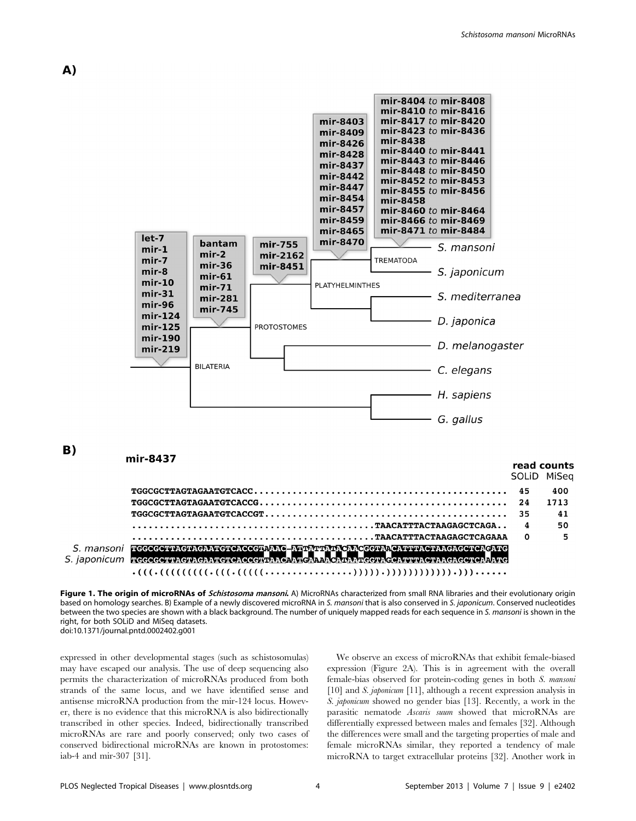

 $\cdot (((\cdot (((\cdot (((\cdot (((\cdot (\cdot \cdot \cdot \cdot \cdot \cdot \cdot \cdot \cdot \cdot \cdot \cdot \cdot \cdot \cdot \cdot \cdot))))))))))))))))))))))))).........$ 

Figure 1. The origin of microRNAs of Schistosoma mansoni. A) MicroRNAs characterized from small RNA libraries and their evolutionary origin based on homology searches. B) Example of a newly discovered microRNA in S. mansoni that is also conserved in S. japonicum. Conserved nucleotides between the two species are shown with a black background. The number of uniquely mapped reads for each sequence in S. mansoni is shown in the right, for both SOLiD and MiSeq datasets. doi:10.1371/journal.pntd.0002402.g001

expressed in other developmental stages (such as schistosomulas) may have escaped our analysis. The use of deep sequencing also permits the characterization of microRNAs produced from both strands of the same locus, and we have identified sense and antisense microRNA production from the mir-124 locus. However, there is no evidence that this microRNA is also bidirectionally transcribed in other species. Indeed, bidirectionally transcribed microRNAs are rare and poorly conserved; only two cases of conserved bidirectional microRNAs are known in protostomes: iab-4 and mir-307 [31].

We observe an excess of microRNAs that exhibit female-biased expression (Figure 2A). This is in agreement with the overall female-bias observed for protein-coding genes in both S. mansoni [10] and S. japonicum [11], although a recent expression analysis in S. japonicum showed no gender bias [13]. Recently, a work in the parasitic nematode Ascaris suum showed that microRNAs are differentially expressed between males and females [32]. Although the differences were small and the targeting properties of male and female microRNAs similar, they reported a tendency of male microRNA to target extracellular proteins [32]. Another work in

A)

**B**)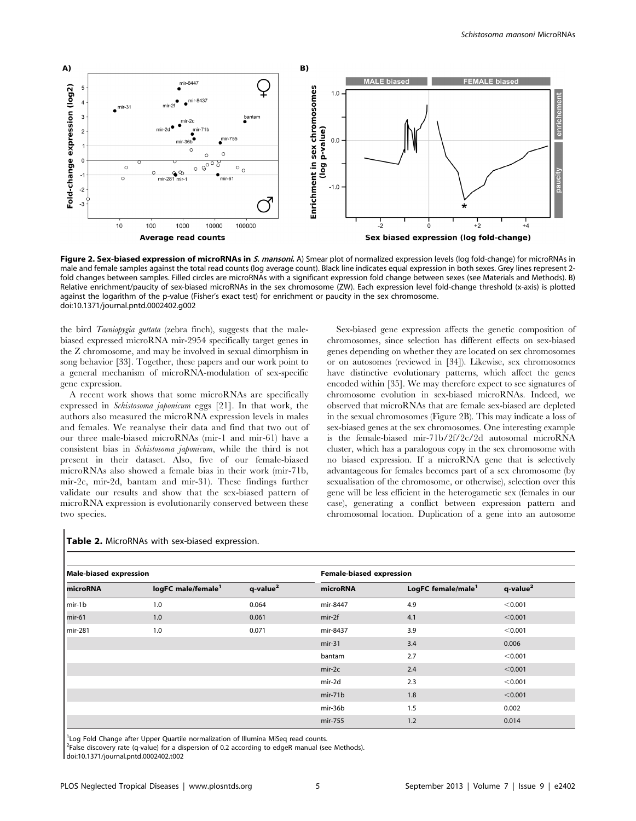

Figure 2. Sex-biased expression of microRNAs in S. mansoni. A) Smear plot of normalized expression levels (log fold-change) for microRNAs in male and female samples against the total read counts (log average count). Black line indicates equal expression in both sexes. Grey lines represent 2 fold changes between samples. Filled circles are microRNAs with a significant expression fold change between sexes (see Materials and Methods). B) Relative enrichment/paucity of sex-biased microRNAs in the sex chromosome (ZW). Each expression level fold-change threshold (x-axis) is plotted against the logarithm of the p-value (Fisher's exact test) for enrichment or paucity in the sex chromosome. doi:10.1371/journal.pntd.0002402.g002

the bird Taeniopygia guttata (zebra finch), suggests that the malebiased expressed microRNA mir-2954 specifically target genes in the Z chromosome, and may be involved in sexual dimorphism in song behavior [33]. Together, these papers and our work point to a general mechanism of microRNA-modulation of sex-specific gene expression.

A recent work shows that some microRNAs are specifically expressed in Schistosoma japonicum eggs [21]. In that work, the authors also measured the microRNA expression levels in males and females. We reanalyse their data and find that two out of our three male-biased microRNAs (mir-1 and mir-61) have a consistent bias in Schistosoma japonicum, while the third is not present in their dataset. Also, five of our female-biased microRNAs also showed a female bias in their work (mir-71b, mir-2c, mir-2d, bantam and mir-31). These findings further validate our results and show that the sex-biased pattern of microRNA expression is evolutionarily conserved between these two species.

Sex-biased gene expression affects the genetic composition of chromosomes, since selection has different effects on sex-biased genes depending on whether they are located on sex chromosomes or on autosomes (reviewed in [34]). Likewise, sex chromosomes have distinctive evolutionary patterns, which affect the genes encoded within [35]. We may therefore expect to see signatures of chromosome evolution in sex-biased microRNAs. Indeed, we observed that microRNAs that are female sex-biased are depleted in the sexual chromosomes (Figure 2B). This may indicate a loss of sex-biased genes at the sex chromosomes. One interesting example is the female-biased mir-71b/2f/2c/2d autosomal microRNA cluster, which has a paralogous copy in the sex chromosome with no biased expression. If a microRNA gene that is selectively advantageous for females becomes part of a sex chromosome (by sexualisation of the chromosome, or otherwise), selection over this gene will be less efficient in the heterogametic sex (females in our case), generating a conflict between expression pattern and chromosomal location. Duplication of a gene into an autosome

| <b>Male-biased expression</b> |                                |                         | Female-biased expression |                                |                      |  |
|-------------------------------|--------------------------------|-------------------------|--------------------------|--------------------------------|----------------------|--|
| microRNA                      | logFC male/female <sup>1</sup> | $q$ -value <sup>2</sup> | microRNA                 | LogFC female/male <sup>1</sup> | q-value <sup>2</sup> |  |
| mir-1b                        | 1.0                            | 0.064                   | mir-8447                 | 4.9                            | < 0.001              |  |
| $min-61$                      | 1.0                            | 0.061                   | $mir-2f$                 | 4.1                            | < 0.001              |  |
| mir-281                       | 1.0                            | 0.071                   | mir-8437                 | 3.9                            | < 0.001              |  |
|                               |                                |                         | $mir-31$                 | 3.4                            | 0.006                |  |
|                               |                                |                         | bantam                   | 2.7                            | < 0.001              |  |
|                               |                                |                         | $mir-2c$                 | 2.4                            | < 0.001              |  |
|                               |                                |                         | mir-2d                   | 2.3                            | < 0.001              |  |
|                               |                                |                         | $mir-71b$                | 1.8                            | < 0.001              |  |
|                               |                                |                         | mir-36b                  | 1.5                            | 0.002                |  |
|                               |                                |                         | mir-755                  | 1.2                            | 0.014                |  |

#### Table 2. MicroRNAs with sex-biased expression.

<sup>1</sup> Log Fold Change after Upper Quartile normalization of Illumina MiSeq read counts.

<sup>2</sup>False discovery rate (q-value) for a dispersion of 0.2 according to edgeR manual (see Methods).

doi:10.1371/journal.pntd.0002402.t002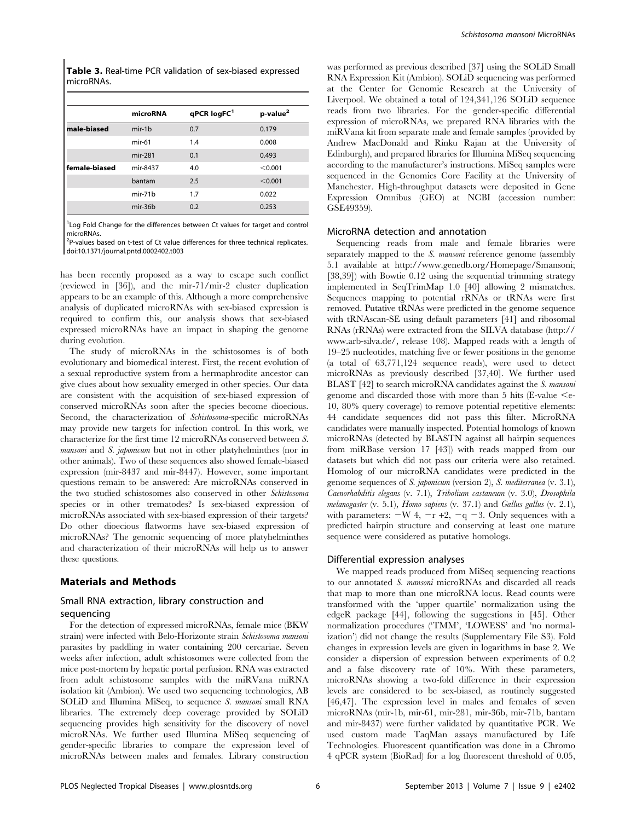Table 3. Real-time PCR validation of sex-biased expressed microRNAs.

|               | microRNA  | qPCR logFC <sup>1</sup> | p-value <sup>2</sup> |
|---------------|-----------|-------------------------|----------------------|
| male-biased   | $mir-1b$  | 0.7                     | 0.179                |
|               | $mir-61$  | 1.4                     | 0.008                |
|               | mir-281   | 0.1                     | 0.493                |
| female-biased | mir-8437  | 4.0                     | < 0.001              |
|               | bantam    | 2.5                     | < 0.001              |
|               | $mir-71b$ | 1.7                     | 0.022                |
|               | $mir-36b$ | 0.2                     | 0.253                |
|               |           |                         |                      |

<sup>1</sup> Log Fold Change for the differences between Ct values for target and control microRNAs.

<sup>2</sup>P-values based on t-test of Ct value differences for three technical replicates. doi:10.1371/journal.pntd.0002402.t003

has been recently proposed as a way to escape such conflict (reviewed in [36]), and the mir-71/mir-2 cluster duplication appears to be an example of this. Although a more comprehensive analysis of duplicated microRNAs with sex-biased expression is required to confirm this, our analysis shows that sex-biased expressed microRNAs have an impact in shaping the genome during evolution.

The study of microRNAs in the schistosomes is of both evolutionary and biomedical interest. First, the recent evolution of a sexual reproductive system from a hermaphrodite ancestor can give clues about how sexuality emerged in other species. Our data are consistent with the acquisition of sex-biased expression of conserved microRNAs soon after the species become dioecious. Second, the characterization of Schistosoma-specific microRNAs may provide new targets for infection control. In this work, we characterize for the first time 12 microRNAs conserved between S. mansoni and S. japonicum but not in other platyhelminthes (nor in other animals). Two of these sequences also showed female-biased expression (mir-8437 and mir-8447). However, some important questions remain to be answered: Are microRNAs conserved in the two studied schistosomes also conserved in other Schistosoma species or in other trematodes? Is sex-biased expression of microRNAs associated with sex-biased expression of their targets? Do other dioecious flatworms have sex-biased expression of microRNAs? The genomic sequencing of more platyhelminthes and characterization of their microRNAs will help us to answer these questions.

# Materials and Methods

# Small RNA extraction, library construction and sequencing

For the detection of expressed microRNAs, female mice (BKW strain) were infected with Belo-Horizonte strain Schistosoma mansoni parasites by paddling in water containing 200 cercariae. Seven weeks after infection, adult schistosomes were collected from the mice post-mortem by hepatic portal perfusion. RNA was extracted from adult schistosome samples with the miRVana miRNA isolation kit (Ambion). We used two sequencing technologies, AB SOLiD and Illumina MiSeq, to sequence S. mansoni small RNA libraries. The extremely deep coverage provided by SOLiD sequencing provides high sensitivity for the discovery of novel microRNAs. We further used Illumina MiSeq sequencing of gender-specific libraries to compare the expression level of microRNAs between males and females. Library construction was performed as previous described [37] using the SOLiD Small RNA Expression Kit (Ambion). SOLiD sequencing was performed at the Center for Genomic Research at the University of Liverpool. We obtained a total of 124,341,126 SOLiD sequence reads from two libraries. For the gender-specific differential expression of microRNAs, we prepared RNA libraries with the miRVana kit from separate male and female samples (provided by Andrew MacDonald and Rinku Rajan at the University of Edinburgh), and prepared libraries for Illumina MiSeq sequencing according to the manufacturer's instructions. MiSeq samples were sequenced in the Genomics Core Facility at the University of Manchester. High-throughput datasets were deposited in Gene Expression Omnibus (GEO) at NCBI (accession number: GSE49359).

#### MicroRNA detection and annotation

Sequencing reads from male and female libraries were separately mapped to the S. mansoni reference genome (assembly 5.1 available at http://www.genedb.org/Homepage/Smansoni; [38,39]) with Bowtie 0.12 using the sequential trimming strategy implemented in SeqTrimMap 1.0 [40] allowing 2 mismatches. Sequences mapping to potential rRNAs or tRNAs were first removed. Putative tRNAs were predicted in the genome sequence with tRNAscan-SE using default parameters [41] and ribosomal RNAs (rRNAs) were extracted from the SILVA database (http:// www.arb-silva.de/, release 108). Mapped reads with a length of 19–25 nucleotides, matching five or fewer positions in the genome (a total of 63,771,124 sequence reads), were used to detect microRNAs as previously described [37,40]. We further used BLAST [42] to search microRNA candidates against the S. mansoni genome and discarded those with more than 5 hits (E-value  $\leq$ e-10, 80% query coverage) to remove potential repetitive elements: 44 candidate sequences did not pass this filter. MicroRNA candidates were manually inspected. Potential homologs of known microRNAs (detected by BLASTN against all hairpin sequences from miRBase version 17 [43]) with reads mapped from our datasets but which did not pass our criteria were also retained. Homolog of our microRNA candidates were predicted in the genome sequences of S. japonicum (version 2), S. mediterranea (v. 3.1), Caenorhabditis elegans (v. 7.1), Tribolium castaneum (v. 3.0), Drosophila melanogaster (v. 5.1), Homo sapiens (v. 37.1) and Gallus gallus (v. 2.1), with parameters:  $-W 4$ ,  $-r +2$ ,  $-q -3$ . Only sequences with a predicted hairpin structure and conserving at least one mature sequence were considered as putative homologs.

#### Differential expression analyses

We mapped reads produced from MiSeq sequencing reactions to our annotated S. mansoni microRNAs and discarded all reads that map to more than one microRNA locus. Read counts were transformed with the 'upper quartile' normalization using the edgeR package [44], following the suggestions in [45]. Other normalization procedures ('TMM', 'LOWESS' and 'no normalization') did not change the results (Supplementary File S3). Fold changes in expression levels are given in logarithms in base 2. We consider a dispersion of expression between experiments of 0.2 and a false discovery rate of 10%. With these parameters, microRNAs showing a two-fold difference in their expression levels are considered to be sex-biased, as routinely suggested [46,47]. The expression level in males and females of seven microRNAs (mir-1b, mir-61, mir-281, mir-36b, mir-71b, bantam and mir-8437) were further validated by quantitative PCR. We used custom made TaqMan assays manufactured by Life Technologies. Fluorescent quantification was done in a Chromo 4 qPCR system (BioRad) for a log fluorescent threshold of 0.05,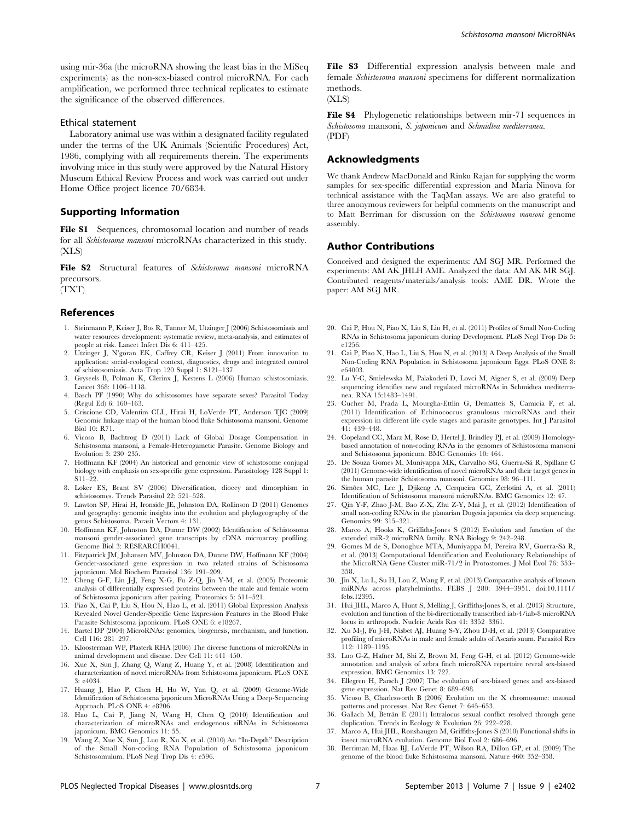using mir-36a (the microRNA showing the least bias in the MiSeq experiments) as the non-sex-biased control microRNA. For each amplification, we performed three technical replicates to estimate the significance of the observed differences.

# Ethical statement

Laboratory animal use was within a designated facility regulated under the terms of the UK Animals (Scientific Procedures) Act, 1986, complying with all requirements therein. The experiments involving mice in this study were approved by the Natural History Museum Ethical Review Process and work was carried out under Home Office project licence 70/6834.

# Supporting Information

File S1 Sequences, chromosomal location and number of reads for all Schistosoma mansoni microRNAs characterized in this study. (XLS)

File S2 Structural features of Schistosoma mansoni microRNA precursors.

(TXT)

# References

- 1. Steinmann P, Keiser J, Bos R, Tanner M, Utzinger J (2006) Schistosomiasis and water resources development: systematic review, meta-analysis, and estimates of people at risk. Lancet Infect Dis 6: 411–425.
- 2. Utzinger J, N'goran EK, Caffrey CR, Keiser J (2011) From innovation to application: social-ecological context, diagnostics, drugs and integrated control of schistosomiasis. Acta Trop 120 Suppl 1: S121–137.
- 3. Gryseels B, Polman K, Clerinx J, Kestens L (2006) Human schistosomiasis. Lancet 368: 1106–1118.
- 4. Basch PF (1990) Why do schistosomes have separate sexes? Parasitol Today (Regul Ed) 6: 160–163.
- 5. Criscione CD, Valentim CLL, Hirai H, LoVerde PT, Anderson TJC (2009) Genomic linkage map of the human blood fluke Schistosoma mansoni. Genome Biol 10: R71.
- 6. Vicoso B, Bachtrog D (2011) Lack of Global Dosage Compensation in Schistosoma mansoni, a Female-Heterogametic Parasite. Genome Biology and Evolution 3: 230–235.
- 7. Hoffmann KF (2004) An historical and genomic view of schistosome conjugal biology with emphasis on sex-specific gene expression. Parasitology 128 Suppl 1:  $S11–22$
- 8. Loker ES, Brant SV (2006) Diversification, dioecy and dimorphism in schistosomes. Trends Parasitol 22: 521–528.
- 9. Lawton SP, Hirai H, Ironside JE, Johnston DA, Rollinson D (2011) Genomes and geography: genomic insights into the evolution and phylogeography of the genus Schistosoma. Parasit Vectors 4: 131.
- 10. Hoffmann KF, Johnston DA, Dunne DW (2002) Identification of Schistosoma mansoni gender-associated gene transcripts by cDNA microarray profiling. Genome Biol 3: RESEARCH0041.
- 11. Fitzpatrick JM, Johansen MV, Johnston DA, Dunne DW, Hoffmann KF (2004) Gender-associated gene expression in two related strains of Schistosoma japonicum. Mol Biochem Parasitol 136: 191–209.
- 12. Cheng G-F, Lin J-J, Feng X-G, Fu Z-Q, Jin Y-M, et al. (2005) Proteomic analysis of differentially expressed proteins between the male and female worm of Schistosoma japonicum after pairing. Proteomics 5: 511–521.
- 13. Piao X, Cai P, Liu S, Hou N, Hao L, et al. (2011) Global Expression Analysis Revealed Novel Gender-Specific Gene Expression Features in the Blood Fluke Parasite Schistosoma japonicum. PLoS ONE 6: e18267.
- 14. Bartel DP (2004) MicroRNAs: genomics, biogenesis, mechanism, and function. Cell 116: 281–297.
- 15. Kloosterman WP, Plasterk RHA (2006) The diverse functions of microRNAs in animal development and disease. Dev Cell 11: 441–450.
- 16. Xue X, Sun J, Zhang Q, Wang Z, Huang Y, et al. (2008) Identification and characterization of novel microRNAs from Schistosoma japonicum. PLoS ONE 3: e4034.
- 17. Huang J, Hao P, Chen H, Hu W, Yan Q, et al. (2009) Genome-Wide Identification of Schistosoma japonicum MicroRNAs Using a Deep-Sequencing Approach. PLoS ONE 4: e8206.
- 18. Hao L, Cai P, Jiang N, Wang H, Chen Q (2010) Identification and characterization of microRNAs and endogenous siRNAs in Schistosoma japonicum. BMC Genomics 11: 55.
- 19. Wang Z, Xue X, Sun J, Luo R, Xu X, et al. (2010) An ''In-Depth'' Description of the Small Non-coding RNA Population of Schistosoma japonicum Schistosomulum. PLoS Negl Trop Dis 4: e596.

File S3 Differential expression analysis between male and female Schistosoma mansoni specimens for different normalization methods.

 $(XLS)$ 

File S4 Phylogenetic relationships between mir-71 sequences in Schistosoma mansoni, S. japonicum and Schmidtea mediterranea. (PDF)

## Acknowledgments

We thank Andrew MacDonald and Rinku Rajan for supplying the worm samples for sex-specific differential expression and Maria Ninova for technical assistance with the TaqMan assays. We are also grateful to three anonymous reviewers for helpful comments on the manuscript and to Matt Berriman for discussion on the Schistosoma mansoni genome assembly.

#### Author Contributions

Conceived and designed the experiments: AM SGJ MR. Performed the experiments: AM AK JHLH AME. Analyzed the data: AM AK MR SGJ. Contributed reagents/materials/analysis tools: AME DR. Wrote the paper: AM SGJ MR.

- 20. Cai P, Hou N, Piao X, Liu S, Liu H, et al. (2011) Profiles of Small Non-Coding RNAs in Schistosoma japonicum during Development. PLoS Negl Trop Dis 5: e1256.
- 21. Cai P, Piao X, Hao L, Liu S, Hou N, et al. (2013) A Deep Analysis of the Small Non-Coding RNA Population in Schistosoma japonicum Eggs. PLoS ONE 8: e64003.
- 22. Lu Y-C, Smielewska M, Palakodeti D, Lovci M, Aigner S, et al. (2009) Deep sequencing identifies new and regulated microRNAs in Schmidtea mediterranea. RNA 15:1483–1491.
- 23. Cucher M, Prada L, Mourglia-Ettlin G, Dematteis S, Camicia F, et al. (2011) Identification of Echinococcus granulosus microRNAs and their expression in different life cycle stages and parasite genotypes. Int J Parasitol 41: 439–448.
- 24. Copeland CC, Marz M, Rose D, Hertel J, Brindley PJ, et al. (2009) Homologybased annotation of non-coding RNAs in the genomes of Schistosoma mansoni and Schistosoma japonicum. BMC Genomics 10: 464.
- 25. De Souza Gomes M, Muniyappa MK, Carvalho SG, Guerra-Sa´ R, Spillane C (2011) Genome-wide identification of novel microRNAs and their target genes in the human parasite Schistosoma mansoni. Genomics 98: 96–111.
- 26. Simões MC, Lee J, Djikeng A, Cerqueira GC, Zerlotini A, et al. (2011) Identification of Schistosoma mansoni microRNAs. BMC Genomics 12: 47.
- 27. Qin Y-F, Zhao J-M, Bao Z-X, Zhu Z-Y, Mai J, et al. (2012) Identification of small non-coding RNAs in the planarian Dugesia japonica via deep sequencing. Genomics 99: 315–321.
- 28. Marco A, Hooks K, Griffiths-Jones S (2012) Evolution and function of the extended miR-2 microRNA family. RNA Biology 9: 242–248.
- 29. Gomes M de S, Donoghue MTA, Muniyappa M, Pereira RV, Guerra-Sa´ R, et al. (2013) Computational Identification and Evolutionary Relationships of the MicroRNA Gene Cluster miR-71/2 in Protostomes. J Mol Evol 76: 353– 358.
- 30. Jin X, Lu L, Su H, Lou Z, Wang F, et al. (2013) Comparative analysis of known miRNAs across platyhelminths. FEBS J 280: 3944–3951. doi:10.1111/ febs.12395.
- 31. Hui JHL, Marco A, Hunt S, Melling J, Griffiths-Jones S, et al. (2013) Structure, evolution and function of the bi-directionally transcribed iab-4/iab-8 microRNA locus in arthropods. Nucleic Acids Res 41: 3352–3361.
- 32. Xu M-J, Fu J-H, Nisbet AJ, Huang S-Y, Zhou D-H, et al. (2013) Comparative profiling of microRNAs in male and female adults of Ascaris suum. Parasitol Res 112: 1189–1195.
- 33. Luo G-Z, Hafner M, Shi Z, Brown M, Feng G-H, et al. (2012) Genome-wide annotation and analysis of zebra finch microRNA repertoire reveal sex-biased expression. BMC Genomics 13: 727.
- 34. Ellegren H, Parsch J (2007) The evolution of sex-biased genes and sex-biased gene expression. Nat Rev Genet 8: 689–698.
- 35. Vicoso B, Charlesworth B (2006) Evolution on the X chromosome: unusual patterns and processes. Nat Rev Genet 7: 645–653.
- 36. Gallach M, Betrán E (2011) Intralocus sexual conflict resolved through gene duplication. Trends in Ecology & Evolution 26: 222–228.
- 37. Marco A, Hui JHL, Ronshaugen M, Griffiths-Jones S (2010) Functional shifts in insect microRNA evolution. Genome Biol Evol 2: 686–696.
- 38. Berriman M, Haas BJ, LoVerde PT, Wilson RA, Dillon GP, et al. (2009) The genome of the blood fluke Schistosoma mansoni. Nature 460: 352–358.